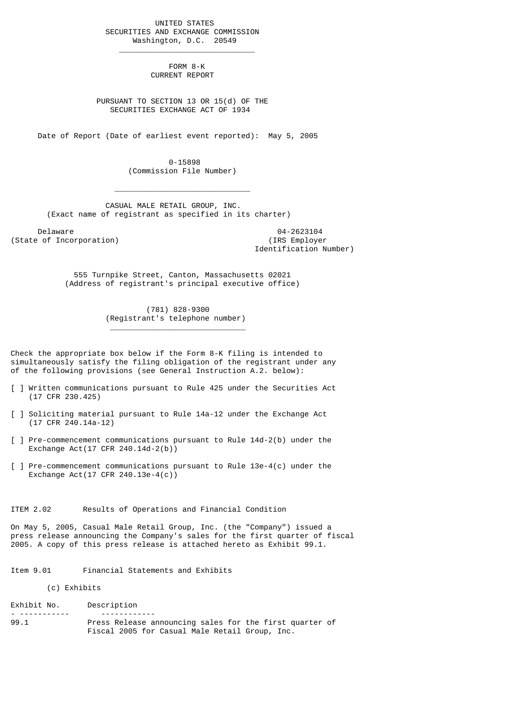UNITED STATES SECURITIES AND EXCHANGE COMMISSION Washington, D.C. 20549

 $\frac{1}{2}$  , and the set of the set of the set of the set of the set of the set of the set of the set of the set of the set of the set of the set of the set of the set of the set of the set of the set of the set of the set

 $\mathcal{L}_\text{max}$  and  $\mathcal{L}_\text{max}$  and  $\mathcal{L}_\text{max}$  and  $\mathcal{L}_\text{max}$  and  $\mathcal{L}_\text{max}$ 

\_\_\_\_\_\_\_\_\_\_\_\_\_\_\_\_\_\_\_\_\_\_\_\_\_\_\_\_\_\_

 FORM 8-K CURRENT REPORT

 PURSUANT TO SECTION 13 OR 15(d) OF THE SECURITIES EXCHANGE ACT OF 1934

Date of Report (Date of earliest event reported): May 5, 2005

 0-15898 (Commission File Number)

 CASUAL MALE RETAIL GROUP, INC. (Exact name of registrant as specified in its charter)

Delaware 04-2623104<br>
Delaware 04-2623104<br>
Of Incorporation (State of Incorporation)

Identification Number)

 555 Turnpike Street, Canton, Massachusetts 02021 (Address of registrant's principal executive office)

> (781) 828-9300 (Registrant's telephone number)

Check the appropriate box below if the Form 8-K filing is intended to simultaneously satisfy the filing obligation of the registrant under any of the following provisions (see General Instruction A.2. below):

- [ ] Written communications pursuant to Rule 425 under the Securities Act (17 CFR 230.425)
- [ ] Soliciting material pursuant to Rule 14a-12 under the Exchange Act (17 CFR 240.14a-12)
- [ ] Pre-commencement communications pursuant to Rule 14d-2(b) under the Exchange Act(17 CFR 240.14d-2(b))
- [ ] Pre-commencement communications pursuant to Rule 13e-4(c) under the Exchange Act(17 CFR 240.13e-4(c))

ITEM 2.02 Results of Operations and Financial Condition

On May 5, 2005, Casual Male Retail Group, Inc. (the "Company") issued a press release announcing the Company's sales for the first quarter of fiscal 2005. A copy of this press release is attached hereto as Exhibit 99.1.

Item 9.01 Financial Statements and Exhibits

(c) Exhibits

Exhibit No. Description - ----------- ------------ 99.1 Press Release announcing sales for the first quarter of Fiscal 2005 for Casual Male Retail Group, Inc.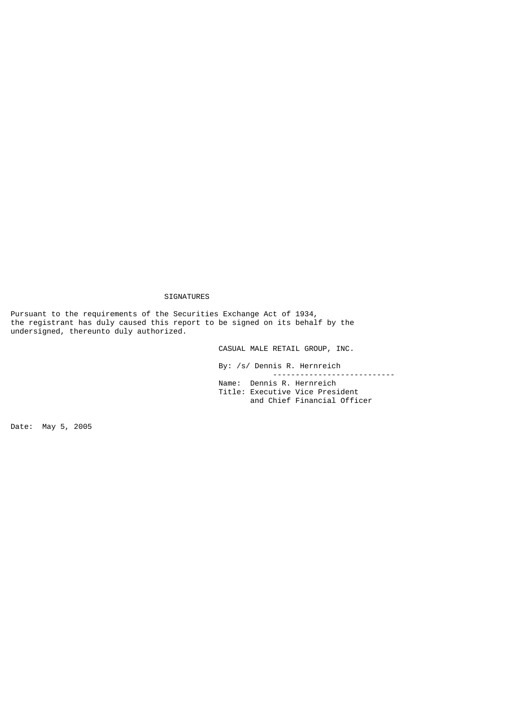## SIGNATURES

Pursuant to the requirements of the Securities Exchange Act of 1934, the registrant has duly caused this report to be signed on its behalf by the undersigned, thereunto duly authorized.

CASUAL MALE RETAIL GROUP, INC.

 By: /s/ Dennis R. Hernreich --------------------------- Name: Dennis R. Hernreich

 Title: Executive Vice President and Chief Financial Officer

Date: May 5, 2005